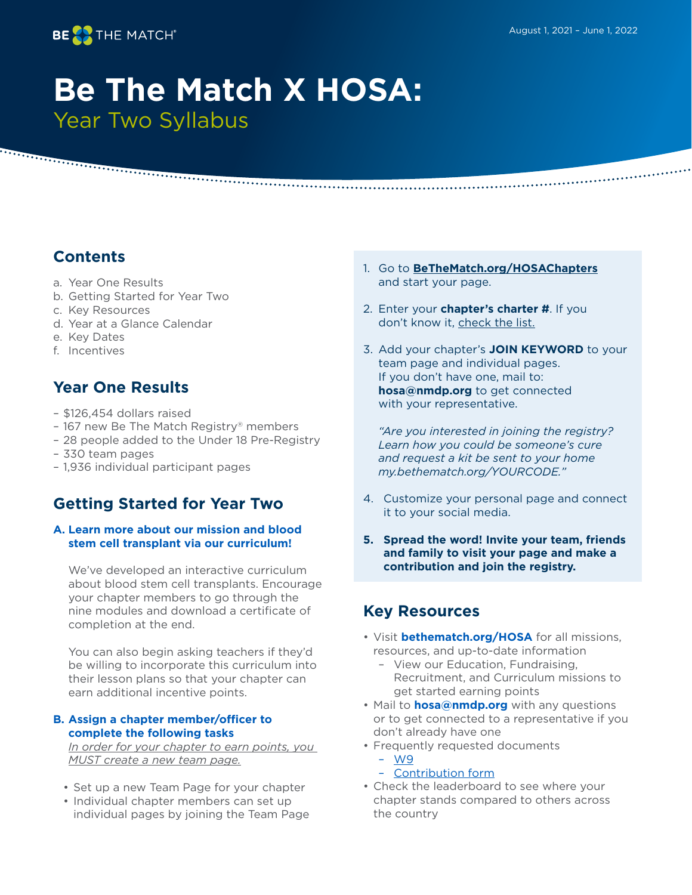..................



# **Be The Match X HOSA:**  Year Two Syllabus

# **Contents**

- a. Year One Results
- b. Getting Started for Year Two
- c. Key Resources
- d. Year at a Glance Calendar
- e. Key Dates
- f. Incentives

# **Year One Results**

- \$126,454 dollars raised
- 167 new Be The Match Registry® members

- 28 people added to the Under 18 Pre-Registry
- 330 team pages
- 1,936 individual participant pages

# **Getting Started for Year Two**

#### **A. Learn more about our mission and blood stem cell transplant via our curriculum!**

We've developed an interactive curriculum about blood stem cell transplants. Encourage your chapter members to go through the nine modules and download a certificate of completion at the end.

You can also begin asking teachers if they'd be willing to incorporate this curriculum into their lesson plans so that your chapter can earn additional incentive points.

#### **B. Assign a chapter member/officer to complete the following tasks**

*In order for your chapter to earn points, you MUST create a new team page.*

- Set up a new Team Page for your chapter
- Individual chapter members can set up individual pages by joining the Team Page
- 1. Go to **[BeTheMatch.org/HOSAChapters](http://BeTheMatch.org/HOSAChapters)** and start your page.
- 2. Enter your **chapter's charter #**. If you don't know it, [check the list.](https://assets.donordrive.com/bethematch/files/$cms$/100/1154.pdf )
- 3. Add your chapter's **JOIN KEYWORD** to your team page and individual pages. If you don't have one, mail to: **hosa@nmdp.org** to get connected with your representative.

*"Are you interested in joining the registry? Learn how you could be someone's cure and request a kit be sent to your home my.bethematch.org/YOURCODE."*

- 4. Customize your personal page and connect it to your social media.
- **5. Spread the word! Invite your team, friends and family to visit your page and make a contribution and join the registry.**

## **Key Resources**

- Visit **[bethematch.org/HOSA](http://www.bethematch.org/HOSA)** for all missions, resources, and up-to-date information
	- View our Education, Fundraising, Recruitment, and Curriculum missions to get started earning points
- Mail to **hosa@nmdp.org** with any questions or to get connected to a representative if you don't already have one
- Frequently requested documents
	- [W9](https://58e8db9a-19ba-430b-98bf-38c93eceb65d.filesusr.com/ugd/ccb695_e8be6004a49548ecb53e6cdd9d415d4d.pdf )
	- [Contribution form](https://58e8db9a-19ba-430b-98bf-38c93eceb65d.filesusr.com/ugd/ccb695_aa6dd0ec3caa43f2883680e2e8605a1e.pdf )
- Check the leaderboard to see where your chapter stands compared to others across the country